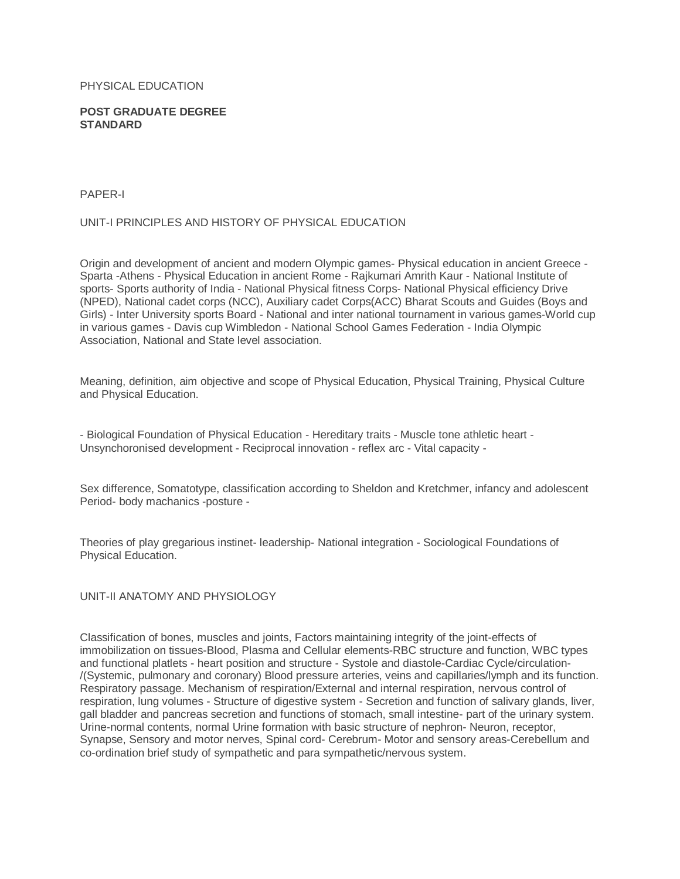#### PHYSICAL EDUCATION

#### **POST GRADUATE DEGREE STANDARD**

#### PAPER-I

### UNIT-I PRINCIPLES AND HISTORY OF PHYSICAL EDUCATION

Origin and development of ancient and modern Olympic games- Physical education in ancient Greece - Sparta -Athens - Physical Education in ancient Rome - Rajkumari Amrith Kaur - National Institute of sports- Sports authority of India - National Physical fitness Corps- National Physical efficiency Drive (NPED), National cadet corps (NCC), Auxiliary cadet Corps(ACC) Bharat Scouts and Guides (Boys and Girls) - Inter University sports Board - National and inter national tournament in various games-World cup in various games - Davis cup Wimbledon - National School Games Federation - India Olympic Association, National and State level association.

Meaning, definition, aim objective and scope of Physical Education, Physical Training, Physical Culture and Physical Education.

- Biological Foundation of Physical Education - Hereditary traits - Muscle tone athletic heart - Unsynchoronised development - Reciprocal innovation - reflex arc - Vital capacity -

Sex difference, Somatotype, classification according to Sheldon and Kretchmer, infancy and adolescent Period- body machanics -posture -

Theories of play gregarious instinet- leadership- National integration - Sociological Foundations of Physical Education.

#### UNIT-II ANATOMY AND PHYSIOLOGY

Classification of bones, muscles and joints, Factors maintaining integrity of the joint-effects of immobilization on tissues-Blood, Plasma and Cellular elements-RBC structure and function, WBC types and functional platlets - heart position and structure - Systole and diastole-Cardiac Cycle/circulation- /(Systemic, pulmonary and coronary) Blood pressure arteries, veins and capillaries/lymph and its function. Respiratory passage. Mechanism of respiration/External and internal respiration, nervous control of respiration, lung volumes - Structure of digestive system - Secretion and function of salivary glands, liver, gall bladder and pancreas secretion and functions of stomach, small intestine- part of the urinary system. Urine-normal contents, normal Urine formation with basic structure of nephron- Neuron, receptor, Synapse, Sensory and motor nerves, Spinal cord- Cerebrum- Motor and sensory areas-Cerebellum and co-ordination brief study of sympathetic and para sympathetic/nervous system.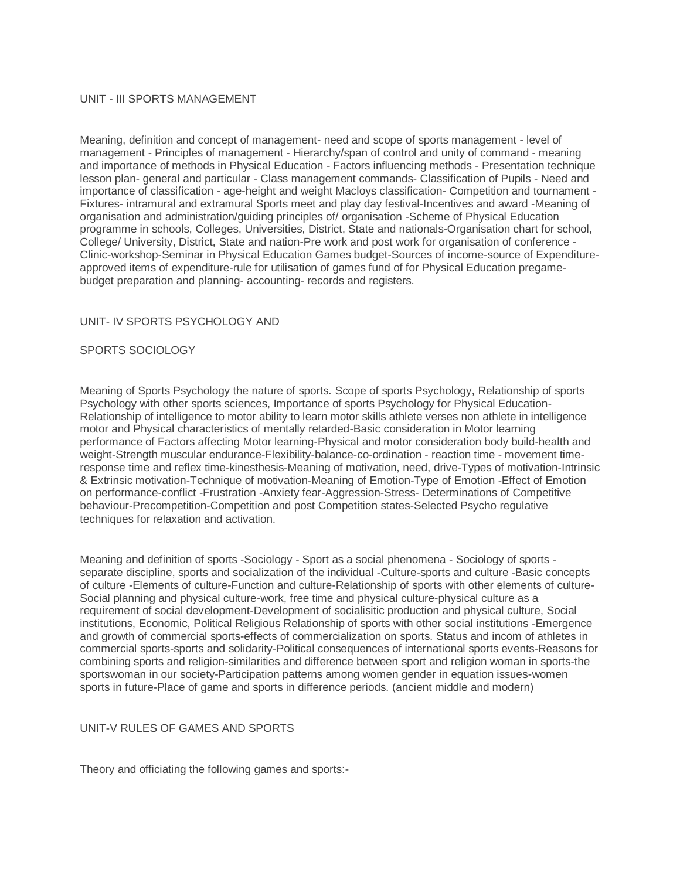# UNIT - III SPORTS MANAGEMENT

Meaning, definition and concept of management- need and scope of sports management - level of management - Principles of management - Hierarchy/span of control and unity of command - meaning and importance of methods in Physical Education - Factors influencing methods - Presentation technique lesson plan- general and particular - Class management commands- Classification of Pupils - Need and importance of classification - age-height and weight Macloys classification- Competition and tournament - Fixtures- intramural and extramural Sports meet and play day festival-Incentives and award -Meaning of organisation and administration/guiding principles of/ organisation -Scheme of Physical Education programme in schools, Colleges, Universities, District, State and nationals-Organisation chart for school, College/ University, District, State and nation-Pre work and post work for organisation of conference - Clinic-workshop-Seminar in Physical Education Games budget-Sources of income-source of Expenditureapproved items of expenditure-rule for utilisation of games fund of for Physical Education pregamebudget preparation and planning- accounting- records and registers.

#### UNIT- IV SPORTS PSYCHOLOGY AND

# SPORTS SOCIOLOGY

Meaning of Sports Psychology the nature of sports. Scope of sports Psychology, Relationship of sports Psychology with other sports sciences, Importance of sports Psychology for Physical Education-Relationship of intelligence to motor ability to learn motor skills athlete verses non athlete in intelligence motor and Physical characteristics of mentally retarded-Basic consideration in Motor learning performance of Factors affecting Motor learning-Physical and motor consideration body build-health and weight-Strength muscular endurance-Flexibility-balance-co-ordination - reaction time - movement timeresponse time and reflex time-kinesthesis-Meaning of motivation, need, drive-Types of motivation-Intrinsic & Extrinsic motivation-Technique of motivation-Meaning of Emotion-Type of Emotion -Effect of Emotion on performance-conflict -Frustration -Anxiety fear-Aggression-Stress- Determinations of Competitive behaviour-Precompetition-Competition and post Competition states-Selected Psycho regulative techniques for relaxation and activation.

Meaning and definition of sports -Sociology - Sport as a social phenomena - Sociology of sports separate discipline, sports and socialization of the individual -Culture-sports and culture -Basic concepts of culture -Elements of culture-Function and culture-Relationship of sports with other elements of culture-Social planning and physical culture-work, free time and physical culture-physical culture as a requirement of social development-Development of socialisitic production and physical culture, Social institutions, Economic, Political Religious Relationship of sports with other social institutions -Emergence and growth of commercial sports-effects of commercialization on sports. Status and incom of athletes in commercial sports-sports and solidarity-Political consequences of international sports events-Reasons for combining sports and religion-similarities and difference between sport and religion woman in sports-the sportswoman in our society-Participation patterns among women gender in equation issues-women sports in future-Place of game and sports in difference periods. (ancient middle and modern)

# UNIT-V RULES OF GAMES AND SPORTS

Theory and officiating the following games and sports:-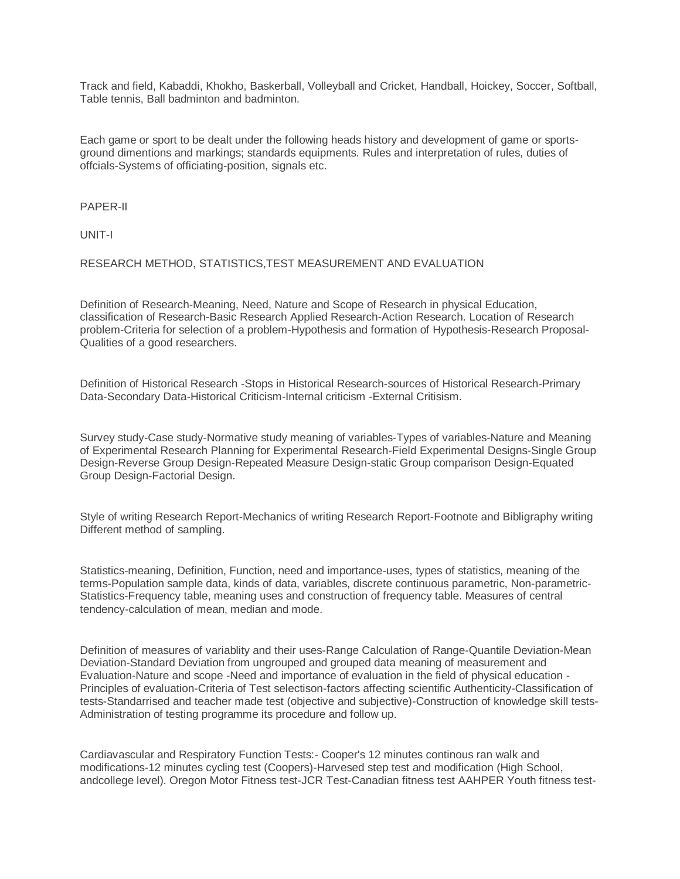Track and field, Kabaddi, Khokho, Baskerball, Volleyball and Cricket, Handball, Hoickey, Soccer, Softball, Table tennis, Ball badminton and badminton.

Each game or sport to be dealt under the following heads history and development of game or sportsground dimentions and markings; standards equipments. Rules and interpretation of rules, duties of offcials-Systems of officiating-position, signals etc.

PAPER-II

UNIT-I

RESEARCH METHOD, STATISTICS,TEST MEASUREMENT AND EVALUATION

Definition of Research-Meaning, Need, Nature and Scope of Research in physical Education, classification of Research-Basic Research Applied Research-Action Research. Location of Research problem-Criteria for selection of a problem-Hypothesis and formation of Hypothesis-Research Proposal-Qualities of a good researchers.

Definition of Historical Research -Stops in Historical Research-sources of Historical Research-Primary Data-Secondary Data-Historical Criticism-Internal criticism -External Critisism.

Survey study-Case study-Normative study meaning of variables-Types of variables-Nature and Meaning of Experimental Research Planning for Experimental Research-Field Experimental Designs-Single Group Design-Reverse Group Design-Repeated Measure Design-static Group comparison Design-Equated Group Design-Factorial Design.

Style of writing Research Report-Mechanics of writing Research Report-Footnote and Bibligraphy writing Different method of sampling.

Statistics-meaning, Definition, Function, need and importance-uses, types of statistics, meaning of the terms-Population sample data, kinds of data, variables, discrete continuous parametric, Non-parametric-Statistics-Frequency table, meaning uses and construction of frequency table. Measures of central tendency-calculation of mean, median and mode.

Definition of measures of variablity and their uses-Range Calculation of Range-Quantile Deviation-Mean Deviation-Standard Deviation from ungrouped and grouped data meaning of measurement and Evaluation-Nature and scope -Need and importance of evaluation in the field of physical education - Principles of evaluation-Criteria of Test selectison-factors affecting scientific Authenticity-Classification of tests-Standarrised and teacher made test (objective and subjective)-Construction of knowledge skill tests-Administration of testing programme its procedure and follow up.

Cardiavascular and Respiratory Function Tests:- Cooper's 12 minutes continous ran walk and modifications-12 minutes cycling test (Coopers)-Harvesed step test and modification (High School, andcollege level). Oregon Motor Fitness test-JCR Test-Canadian fitness test AAHPER Youth fitness test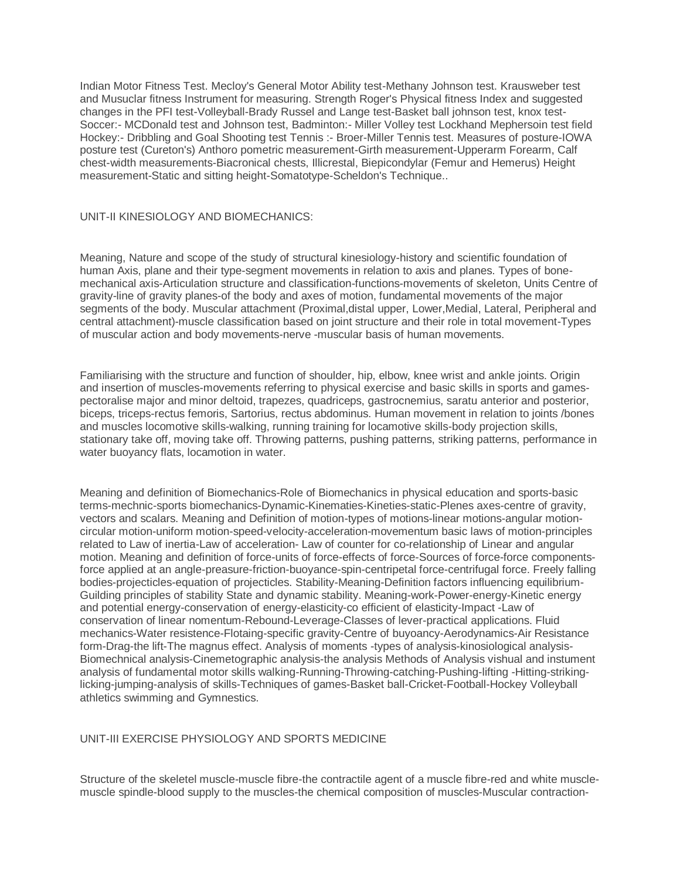Indian Motor Fitness Test. Mecloy's General Motor Ability test-Methany Johnson test. Krausweber test and Musuclar fitness Instrument for measuring. Strength Roger's Physical fitness Index and suggested changes in the PFI test-Volleyball-Brady Russel and Lange test-Basket ball johnson test, knox test-Soccer:- MCDonald test and Johnson test, Badminton:- Miller Volley test Lockhand Mephersoin test field Hockey:- Dribbling and Goal Shooting test Tennis :- Broer-Miller Tennis test. Measures of posture-IOWA posture test (Cureton's) Anthoro pometric measurement-Girth measurement-Upperarm Forearm, Calf chest-width measurements-Biacronical chests, Illicrestal, Biepicondylar (Femur and Hemerus) Height measurement-Static and sitting height-Somatotype-Scheldon's Technique..

# UNIT-II KINESIOLOGY AND BIOMECHANICS:

Meaning, Nature and scope of the study of structural kinesiology-history and scientific foundation of human Axis, plane and their type-segment movements in relation to axis and planes. Types of bonemechanical axis-Articulation structure and classification-functions-movements of skeleton, Units Centre of gravity-line of gravity planes-of the body and axes of motion, fundamental movements of the major segments of the body. Muscular attachment (Proximal,distal upper, Lower,Medial, Lateral, Peripheral and central attachment)-muscle classification based on joint structure and their role in total movement-Types of muscular action and body movements-nerve -muscular basis of human movements.

Familiarising with the structure and function of shoulder, hip, elbow, knee wrist and ankle joints. Origin and insertion of muscles-movements referring to physical exercise and basic skills in sports and gamespectoralise major and minor deltoid, trapezes, quadriceps, gastrocnemius, saratu anterior and posterior, biceps, triceps-rectus femoris, Sartorius, rectus abdominus. Human movement in relation to joints /bones and muscles locomotive skills-walking, running training for locamotive skills-body projection skills, stationary take off, moving take off. Throwing patterns, pushing patterns, striking patterns, performance in water buoyancy flats, locamotion in water.

Meaning and definition of Biomechanics-Role of Biomechanics in physical education and sports-basic terms-mechnic-sports biomechanics-Dynamic-Kinematies-Kineties-static-Plenes axes-centre of gravity, vectors and scalars. Meaning and Definition of motion-types of motions-linear motions-angular motioncircular motion-uniform motion-speed-velocity-acceleration-movementum basic laws of motion-principles related to Law of inertia-Law of acceleration- Law of counter for co-relationship of Linear and angular motion. Meaning and definition of force-units of force-effects of force-Sources of force-force componentsforce applied at an angle-preasure-friction-buoyance-spin-centripetal force-centrifugal force. Freely falling bodies-projecticles-equation of projecticles. Stability-Meaning-Definition factors influencing equilibrium-Guilding principles of stability State and dynamic stability. Meaning-work-Power-energy-Kinetic energy and potential energy-conservation of energy-elasticity-co efficient of elasticity-Impact -Law of conservation of linear nomentum-Rebound-Leverage-Classes of lever-practical applications. Fluid mechanics-Water resistence-Flotaing-specific gravity-Centre of buyoancy-Aerodynamics-Air Resistance form-Drag-the lift-The magnus effect. Analysis of moments -types of analysis-kinosiological analysis-Biomechnical analysis-Cinemetographic analysis-the analysis Methods of Analysis vishual and instument analysis of fundamental motor skills walking-Running-Throwing-catching-Pushing-lifting -Hitting-strikinglicking-jumping-analysis of skills-Techniques of games-Basket ball-Cricket-Football-Hockey Volleyball athletics swimming and Gymnestics.

# UNIT-III EXERCISE PHYSIOLOGY AND SPORTS MEDICINE

Structure of the skeletel muscle-muscle fibre-the contractile agent of a muscle fibre-red and white musclemuscle spindle-blood supply to the muscles-the chemical composition of muscles-Muscular contraction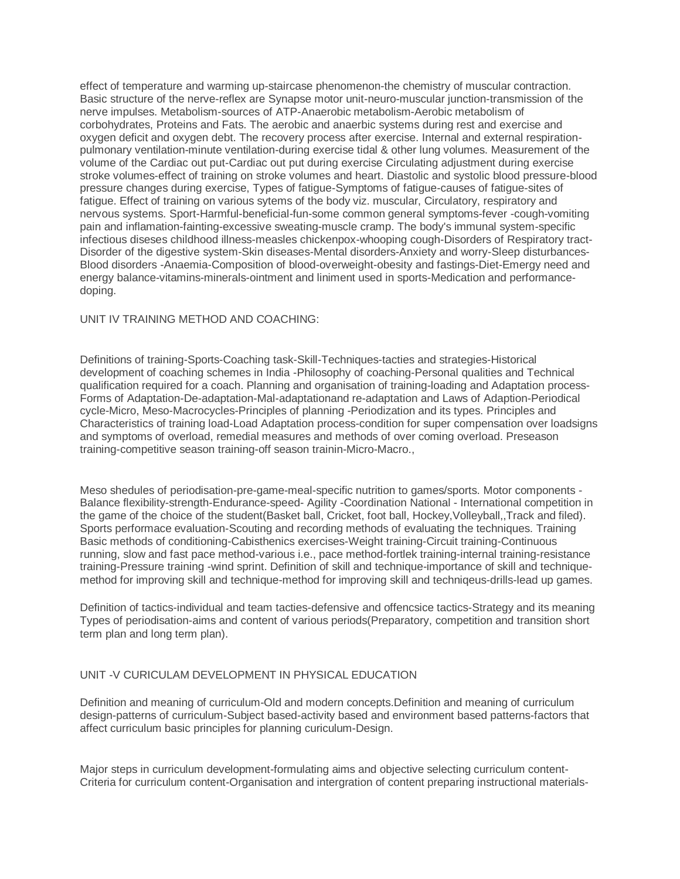effect of temperature and warming up-staircase phenomenon-the chemistry of muscular contraction. Basic structure of the nerve-reflex are Synapse motor unit-neuro-muscular junction-transmission of the nerve impulses. Metabolism-sources of ATP-Anaerobic metabolism-Aerobic metabolism of corbohydrates, Proteins and Fats. The aerobic and anaerbic systems during rest and exercise and oxygen deficit and oxygen debt. The recovery process after exercise. Internal and external respirationpulmonary ventilation-minute ventilation-during exercise tidal & other lung volumes. Measurement of the volume of the Cardiac out put-Cardiac out put during exercise Circulating adjustment during exercise stroke volumes-effect of training on stroke volumes and heart. Diastolic and systolic blood pressure-blood pressure changes during exercise, Types of fatigue-Symptoms of fatigue-causes of fatigue-sites of fatigue. Effect of training on various sytems of the body viz. muscular, Circulatory, respiratory and nervous systems. Sport-Harmful-beneficial-fun-some common general symptoms-fever -cough-vomiting pain and inflamation-fainting-excessive sweating-muscle cramp. The body's immunal system-specific infectious diseses childhood illness-measles chickenpox-whooping cough-Disorders of Respiratory tract-Disorder of the digestive system-Skin diseases-Mental disorders-Anxiety and worry-Sleep disturbances-Blood disorders -Anaemia-Composition of blood-overweight-obesity and fastings-Diet-Emergy need and energy balance-vitamins-minerals-ointment and liniment used in sports-Medication and performancedoping.

### UNIT IV TRAINING METHOD AND COACHING:

Definitions of training-Sports-Coaching task-Skill-Techniques-tacties and strategies-Historical development of coaching schemes in India -Philosophy of coaching-Personal qualities and Technical qualification required for a coach. Planning and organisation of training-loading and Adaptation process-Forms of Adaptation-De-adaptation-Mal-adaptationand re-adaptation and Laws of Adaption-Periodical cycle-Micro, Meso-Macrocycles-Principles of planning -Periodization and its types. Principles and Characteristics of training load-Load Adaptation process-condition for super compensation over loadsigns and symptoms of overload, remedial measures and methods of over coming overload. Preseason training-competitive season training-off season trainin-Micro-Macro.,

Meso shedules of periodisation-pre-game-meal-specific nutrition to games/sports. Motor components - Balance flexibility-strength-Endurance-speed- Agility -Coordination National - International competition in the game of the choice of the student(Basket ball, Cricket, foot ball, Hockey,Volleyball,,Track and filed). Sports performace evaluation-Scouting and recording methods of evaluating the techniques. Training Basic methods of conditioning-Cabisthenics exercises-Weight training-Circuit training-Continuous running, slow and fast pace method-various i.e., pace method-fortlek training-internal training-resistance training-Pressure training -wind sprint. Definition of skill and technique-importance of skill and techniquemethod for improving skill and technique-method for improving skill and techniqeus-drills-lead up games.

Definition of tactics-individual and team tacties-defensive and offencsice tactics-Strategy and its meaning Types of periodisation-aims and content of various periods(Preparatory, competition and transition short term plan and long term plan).

#### UNIT -V CURICULAM DEVELOPMENT IN PHYSICAL EDUCATION

Definition and meaning of curriculum-Old and modern concepts.Definition and meaning of curriculum design-patterns of curriculum-Subject based-activity based and environment based patterns-factors that affect curriculum basic principles for planning curiculum-Design.

Major steps in curriculum development-formulating aims and objective selecting curriculum content-Criteria for curriculum content-Organisation and intergration of content preparing instructional materials